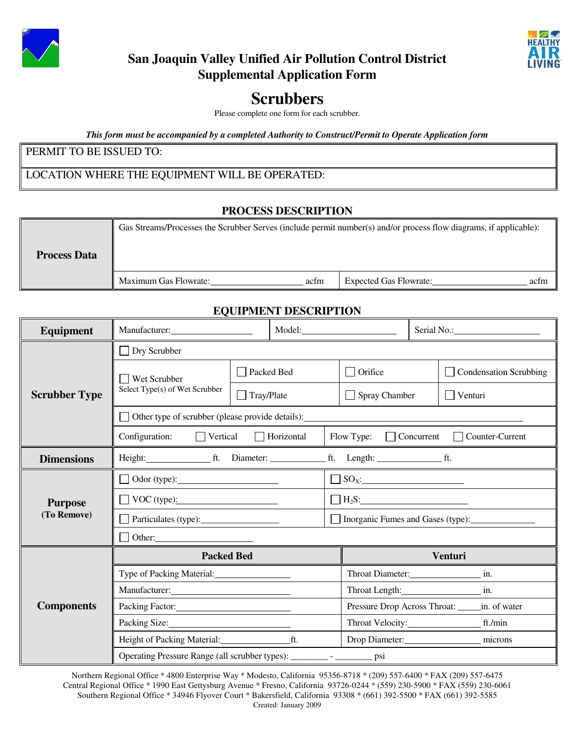



## **San Joaquin Valley Unified Air Pollution Control District Supplemental Application Form**

# **Scrubbers**

Please complete one form for each scrubber.

*This form must be accompanied by a completed Authority to Construct/Permit to Operate Application form*

## PERMIT TO BE ISSUED TO:

## LOCATION WHERE THE EQUIPMENT WILL BE OPERATED:

#### **PROCESS DESCRIPTION**

| <b>Process Data</b> | Gas Streams/Processes the Scrubber Serves (include permit number(s) and/or process flow diagrams, if applicable): |      |                               |      |
|---------------------|-------------------------------------------------------------------------------------------------------------------|------|-------------------------------|------|
|                     | Maximum Gas Flowrate:                                                                                             | acfm | <b>Expected Gas Flowrate:</b> | actm |

## **EQUIPMENT DESCRIPTION**

| <b>Equipment</b>              | Manufacturer: National Assembly 2014                                      |                   | Model:            |                                                  | Serial No.:                       |                        |  |
|-------------------------------|---------------------------------------------------------------------------|-------------------|-------------------|--------------------------------------------------|-----------------------------------|------------------------|--|
|                               | $\Box$ Dry Scrubber                                                       |                   |                   |                                                  |                                   |                        |  |
| <b>Scrubber Type</b>          | <b>Wet Scrubber</b>                                                       | □ Packed Bed      |                   | $\Box$ Orifice                                   |                                   | Condensation Scrubbing |  |
|                               | Select Type(s) of Wet Scrubber                                            | $\Box$ Tray/Plate |                   | $\Box$ Spray Chamber                             |                                   | Venturi                |  |
|                               | Other type of scrubber (please provide details):                          |                   |                   |                                                  |                                   |                        |  |
|                               | Configuration:<br>$\Box$ Vertical                                         |                   | $\Box$ Horizontal | Flow Type:                                       | Concurrent                        | Counter-Current        |  |
| <b>Dimensions</b>             |                                                                           |                   |                   |                                                  |                                   |                        |  |
| <b>Purpose</b><br>(To Remove) | $\Box$ Odor (type):                                                       |                   |                   |                                                  |                                   |                        |  |
|                               | $\Box$ VOC (type):                                                        |                   |                   |                                                  |                                   |                        |  |
|                               |                                                                           |                   |                   |                                                  | Inorganic Fumes and Gases (type): |                        |  |
|                               |                                                                           |                   |                   |                                                  |                                   |                        |  |
|                               | <b>Packed Bed</b>                                                         |                   |                   | Venturi                                          |                                   |                        |  |
| <b>Components</b>             | Type of Packing Material:                                                 |                   |                   | Throat Diameter: in.                             |                                   |                        |  |
|                               | Manufacturer:                                                             |                   |                   | Throat Length: in.                               |                                   |                        |  |
|                               | Packing Factor:                                                           |                   |                   | Pressure Drop Across Throat: ______ in. of water |                                   |                        |  |
|                               | Packing Size: 2008                                                        |                   |                   |                                                  |                                   |                        |  |
|                               |                                                                           |                   |                   |                                                  |                                   | Drop Diameter: microns |  |
|                               | Operating Pressure Range (all scrubber types): _________ - __________ psi |                   |                   |                                                  |                                   |                        |  |

Northern Regional Office \* 4800 Enterprise Way \* Modesto, California 95356-8718 \* (209) 557-6400 \* FAX (209) 557-6475 Central Regional Office \* 1990 East Gettysburg Avenue \* Fresno, California 93726-0244 \* (559) 230-5900 \* FAX (559) 230-6061 Southern Regional Office \* 34946 Flyover Court \* Bakersfield, California 93308 \* (661) 392-5500 \* FAX (661) 392-5585 Created: January 2009